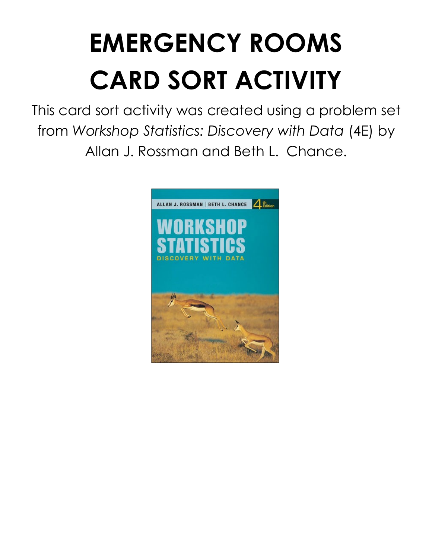# **EMERGENCY ROOMS CARD SORT ACTIVITY**

This card sort activity was created using a problem set from *Workshop Statistics: Discovery with Data* (4E) by Allan J. Rossman and Beth L. Chance.

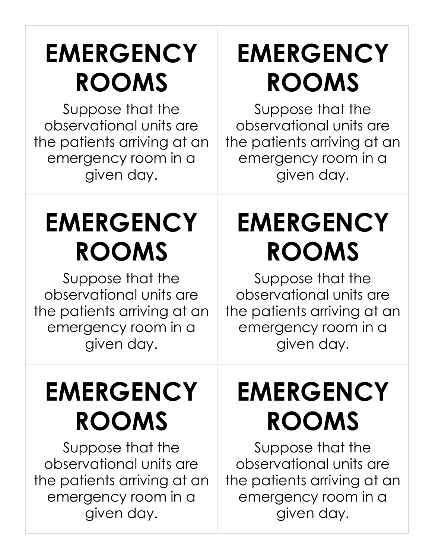# **EMERGENCY ROOMS**

Suppose that the observational units are the patients arriving at an emergency room in a given day.

## **EMERGENCY ROOMS**

Suppose that the observational units are the patients arriving at an emergency room in a given day.

#### **EMERGENCY ROOMS**

Suppose that the observational units are the patients arriving at an emergency room in a given day.

## **EMERGENCY ROOMS**

Suppose that the observational units are the patients arriving at an emergency room in a given day.

### **EMERGENCY ROOMS**

Suppose that the observational units are the patients arriving at an emergency room in a given day.

# **EMERGENCY ROOMS**

Suppose that the observational units are the patients arriving at an emergency room in a given day.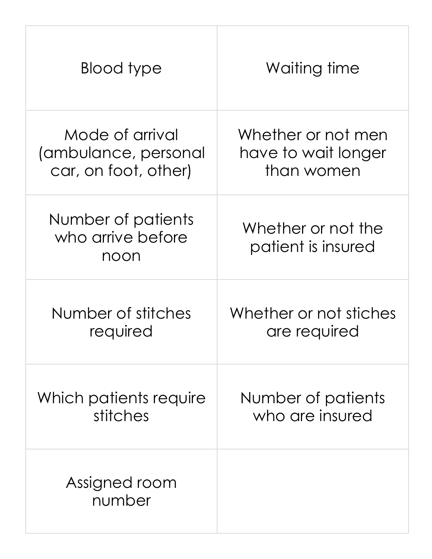| Blood type                                      | Waiting time                             |
|-------------------------------------------------|------------------------------------------|
| Mode of arrival                                 | Whether or not men                       |
| (ambulance, personal                            | have to wait longer                      |
| car, on foot, other)                            | than women                               |
| Number of patients<br>who arrive before<br>noon | Whether or not the<br>patient is insured |
| Number of stitches                              | Whether or not stiches                   |
| required                                        | are required                             |
| Which patients require                          | Number of patients                       |
| stitches                                        | who are insured                          |
| Assigned room<br>number                         |                                          |